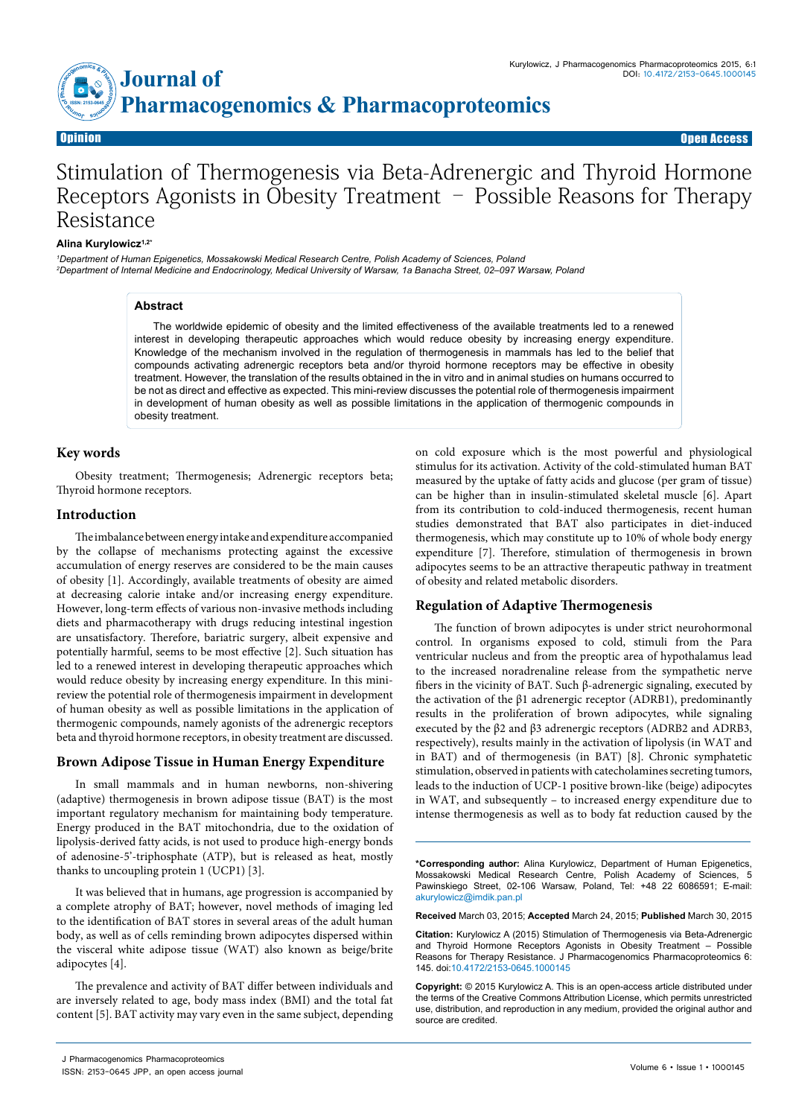

# Stimulation of Thermogenesis via Beta-Adrenergic and Thyroid Hormone Receptors Agonists in Obesity Treatment – Possible Reasons for Therapy Resistance

#### **Alina Kurylowicz1,2\***

*1 Department of Human Epigenetics, Mossakowski Medical Research Centre, Polish Academy of Sciences, Poland 2 Department of Internal Medicine and Endocrinology, Medical University of Warsaw, 1a Banacha Street, 02–097 Warsaw, Poland*

#### **Abstract**

The worldwide epidemic of obesity and the limited effectiveness of the available treatments led to a renewed interest in developing therapeutic approaches which would reduce obesity by increasing energy expenditure. Knowledge of the mechanism involved in the regulation of thermogenesis in mammals has led to the belief that compounds activating adrenergic receptors beta and/or thyroid hormone receptors may be effective in obesity treatment. However, the translation of the results obtained in the in vitro and in animal studies on humans occurred to be not as direct and effective as expected. This mini-review discusses the potential role of thermogenesis impairment in development of human obesity as well as possible limitations in the application of thermogenic compounds in obesity treatment.

# **Key words**

Obesity treatment; Thermogenesis; Adrenergic receptors beta; Thyroid hormone receptors.

# **Introduction**

The imbalance between energy intake and expenditure accompanied by the collapse of mechanisms protecting against the excessive accumulation of energy reserves are considered to be the main causes of obesity [1]. Accordingly, available treatments of obesity are aimed at decreasing calorie intake and/or increasing energy expenditure. However, long-term effects of various non-invasive methods including diets and pharmacotherapy with drugs reducing intestinal ingestion are unsatisfactory. Therefore, bariatric surgery, albeit expensive and potentially harmful, seems to be most effective [2]. Such situation has led to a renewed interest in developing therapeutic approaches which would reduce obesity by increasing energy expenditure. In this minireview the potential role of thermogenesis impairment in development of human obesity as well as possible limitations in the application of thermogenic compounds, namely agonists of the adrenergic receptors beta and thyroid hormone receptors, in obesity treatment are discussed.

# **Brown Adipose Tissue in Human Energy Expenditure**

In small mammals and in human newborns, non-shivering (adaptive) thermogenesis in brown adipose tissue (BAT) is the most important regulatory mechanism for maintaining body temperature. Energy produced in the BAT mitochondria, due to the oxidation of lipolysis-derived fatty acids, is not used to produce high-energy bonds of adenosine-5'-triphosphate (ATP), but is released as heat, mostly thanks to uncoupling protein 1 (UCP1) [3].

It was believed that in humans, age progression is accompanied by a complete atrophy of BAT; however, novel methods of imaging led to the identification of BAT stores in several areas of the adult human body, as well as of cells reminding brown adipocytes dispersed within the visceral white adipose tissue (WAT) also known as beige/brite adipocytes [4].

The prevalence and activity of BAT differ between individuals and are inversely related to age, body mass index (BMI) and the total fat content [5]. BAT activity may vary even in the same subject, depending on cold exposure which is the most powerful and physiological stimulus for its activation. Activity of the cold-stimulated human BAT measured by the uptake of fatty acids and glucose (per gram of tissue) can be higher than in insulin-stimulated skeletal muscle [6]. Apart from its contribution to cold-induced thermogenesis, recent human studies demonstrated that BAT also participates in diet-induced thermogenesis, which may constitute up to 10% of whole body energy expenditure [7]. Therefore, stimulation of thermogenesis in brown adipocytes seems to be an attractive therapeutic pathway in treatment of obesity and related metabolic disorders.

# **Regulation of Adaptive Thermogenesis**

The function of brown adipocytes is under strict neurohormonal control. In organisms exposed to cold, stimuli from the Para ventricular nucleus and from the preoptic area of hypothalamus lead to the increased noradrenaline release from the sympathetic nerve fibers in the vicinity of BAT. Such β-adrenergic signaling, executed by the activation of the β1 adrenergic receptor (ADRB1), predominantly results in the proliferation of brown adipocytes, while signaling executed by the β2 and β3 adrenergic receptors (ADRB2 and ADRB3, respectively), results mainly in the activation of lipolysis (in WAT and in BAT) and of thermogenesis (in BAT) [8]. Chronic symphatetic stimulation, observed in patients with catecholamines secreting tumors, leads to the induction of UCP-1 positive brown-like (beige) adipocytes in WAT, and subsequently – to increased energy expenditure due to intense thermogenesis as well as to body fat reduction caused by the

**\*Corresponding author:** Alina Kurylowicz, Department of Human Epigenetics, Mossakowski Medical Research Centre, Polish Academy of Sciences, 5 Pawinskiego Street, 02-106 Warsaw, Poland, Tel: +48 22 6086591; E-mail: akurylowicz@imdik.pan.pl

**Received** March 03, 2015; **Accepted** March 24, 2015; **Published** March 30, 2015

**Citation:** Kurylowicz A (2015) Stimulation of Thermogenesis via Beta-Adrenergic and Thyroid Hormone Receptors Agonists in Obesity Treatment – Possible Reasons for Therapy Resistance. J Pharmacogenomics Pharmacoproteomics 6: 145. doi:10.4172/2153-0645.1000145

**Copyright:** © 2015 Kurylowicz A. This is an open-access article distributed under the terms of the Creative Commons Attribution License, which permits unrestricted use, distribution, and reproduction in any medium, provided the original author and source are credited.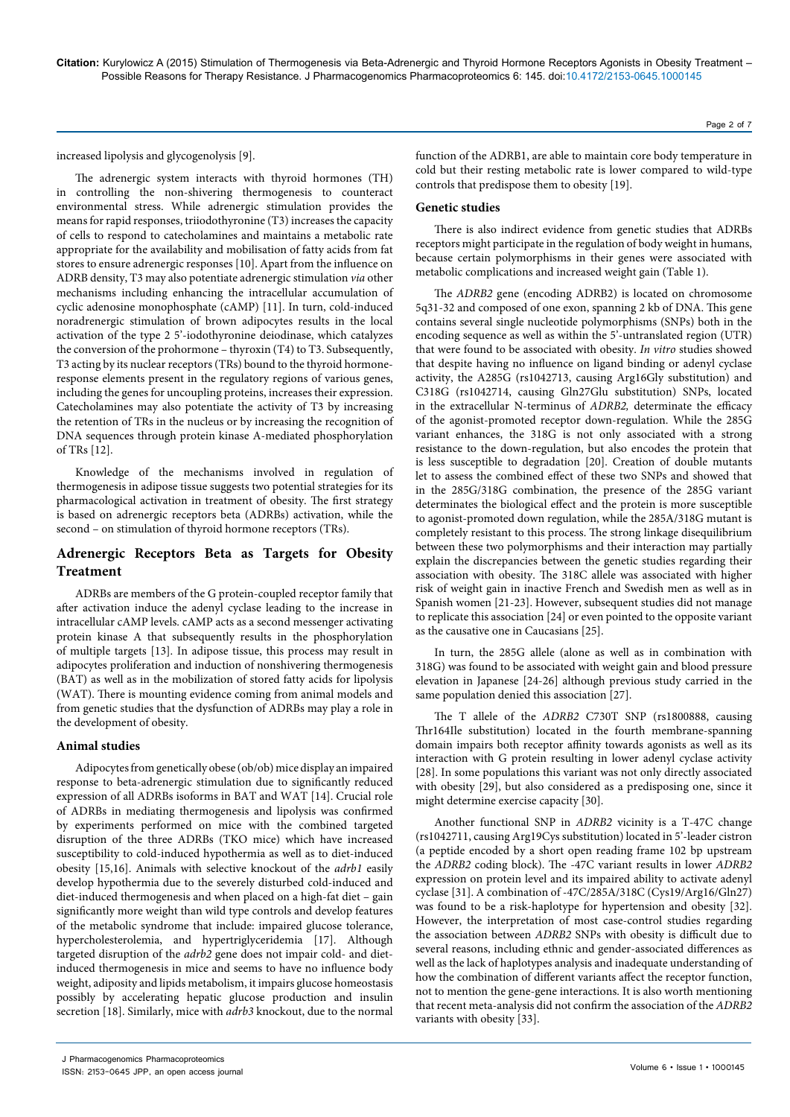increased lipolysis and glycogenolysis [9].

The adrenergic system interacts with thyroid hormones (TH) in controlling the non-shivering thermogenesis to counteract environmental stress. While adrenergic stimulation provides the means for rapid responses, triiodothyronine (T3) increases the capacity of cells to respond to catecholamines and maintains a metabolic rate appropriate for the availability and mobilisation of fatty acids from fat stores to ensure adrenergic responses [10]. Apart from the influence on ADRB density, T3 may also potentiate adrenergic stimulation *via* other mechanisms including enhancing the intracellular accumulation of cyclic adenosine monophosphate (cAMP) [11]. In turn, cold-induced noradrenergic stimulation of brown adipocytes results in the local activation of the type 2 5'-iodothyronine deiodinase, which catalyzes the conversion of the prohormone – thyroxin (T4) to T3. Subsequently, T3 acting by its nuclear receptors (TRs) bound to the thyroid hormoneresponse elements present in the regulatory regions of various genes, including the genes for uncoupling proteins, increases their expression. Catecholamines may also potentiate the activity of T3 by increasing the retention of TRs in the nucleus or by increasing the recognition of DNA sequences through protein kinase A-mediated phosphorylation of TRs [12].

Knowledge of the mechanisms involved in regulation of thermogenesis in adipose tissue suggests two potential strategies for its pharmacological activation in treatment of obesity. The first strategy is based on adrenergic receptors beta (ADRBs) activation, while the second – on stimulation of thyroid hormone receptors (TRs).

# **Adrenergic Receptors Beta as Targets for Obesity Treatment**

ADRBs are members of the G protein-coupled receptor family that after activation induce the adenyl cyclase leading to the increase in intracellular cAMP levels. cAMP acts as a second messenger activating protein kinase A that subsequently results in the phosphorylation of multiple targets [13]. In adipose tissue, this process may result in adipocytes proliferation and induction of nonshivering thermogenesis (BAT) as well as in the mobilization of stored fatty acids for lipolysis (WAT). There is mounting evidence coming from animal models and from genetic studies that the dysfunction of ADRBs may play a role in the development of obesity.

# **Animal studies**

Adipocytes from genetically obese (ob/ob) mice display an impaired response to beta-adrenergic stimulation due to significantly reduced expression of all ADRBs isoforms in BAT and WAT [14]. Crucial role of ADRBs in mediating thermogenesis and lipolysis was confirmed by experiments performed on mice with the combined targeted disruption of the three ADRBs (TKO mice) which have increased susceptibility to cold-induced hypothermia as well as to diet-induced obesity [15,16]. Animals with selective knockout of the *adrb1* easily develop hypothermia due to the severely disturbed cold-induced and diet-induced thermogenesis and when placed on a high-fat diet – gain significantly more weight than wild type controls and develop features of the metabolic syndrome that include: impaired glucose tolerance, hypercholesterolemia, and hypertriglyceridemia [17]. Although targeted disruption of the *adrb2* gene does not impair cold- and dietinduced thermogenesis in mice and seems to have no influence body weight, adiposity and lipids metabolism, it impairs glucose homeostasis possibly by accelerating hepatic glucose production and insulin secretion [18]. Similarly, mice with *adrb3* knockout, due to the normal

function of the ADRB1, are able to maintain core body temperature in cold but their resting metabolic rate is lower compared to wild-type controls that predispose them to obesity [19].

#### **Genetic studies**

There is also indirect evidence from genetic studies that ADRBs receptors might participate in the regulation of body weight in humans, because certain polymorphisms in their genes were associated with metabolic complications and increased weight gain (Table 1).

The *ADRB2* gene (encoding ADRB2) is located on chromosome 5q31-32 and composed of one exon, spanning 2 kb of DNA. This gene contains several single nucleotide polymorphisms (SNPs) both in the encoding sequence as well as within the 5'-untranslated region (UTR) that were found to be associated with obesity. *In vitro* studies showed that despite having no influence on ligand binding or adenyl cyclase activity, the A285G (rs1042713, causing Arg16Gly substitution) and C318G (rs1042714, causing Gln27Glu substitution) SNPs, located in the extracellular N-terminus of *ADRB2,* determinate the efficacy of the agonist-promoted receptor down-regulation. While the 285G variant enhances, the 318G is not only associated with a strong resistance to the down-regulation, but also encodes the protein that is less susceptible to degradation [20]. Creation of double mutants let to assess the combined effect of these two SNPs and showed that in the 285G/318G combination, the presence of the 285G variant determinates the biological effect and the protein is more susceptible to agonist-promoted down regulation, while the 285A/318G mutant is completely resistant to this process. The strong linkage disequilibrium between these two polymorphisms and their interaction may partially explain the discrepancies between the genetic studies regarding their association with obesity. The 318C allele was associated with higher risk of weight gain in inactive French and Swedish men as well as in Spanish women [21-23]. However, subsequent studies did not manage to replicate this association [24] or even pointed to the opposite variant as the causative one in Caucasians [25].

In turn, the 285G allele (alone as well as in combination with 318G) was found to be associated with weight gain and blood pressure elevation in Japanese [24-26] although previous study carried in the same population denied this association [27].

The T allele of the *ADRB2* C730T SNP (rs1800888, causing Thr164Ile substitution) located in the fourth membrane-spanning domain impairs both receptor affinity towards agonists as well as its interaction with G protein resulting in lower adenyl cyclase activity [28]. In some populations this variant was not only directly associated with obesity [29], but also considered as a predisposing one, since it might determine exercise capacity [30].

Another functional SNP in *ADRB2* vicinity is a T-47C change (rs1042711, causing Arg19Cys substitution) located in 5'-leader cistron (a peptide encoded by a short open reading frame 102 bp upstream the *ADRB2* coding block). The -47C variant results in lower *ADRB2* expression on protein level and its impaired ability to activate adenyl cyclase [31]. A combination of -47C/285A/318C (Cys19/Arg16/Gln27) was found to be a risk-haplotype for hypertension and obesity [32]. However, the interpretation of most case-control studies regarding the association between *ADRB2* SNPs with obesity is difficult due to several reasons, including ethnic and gender-associated differences as well as the lack of haplotypes analysis and inadequate understanding of how the combination of different variants affect the receptor function, not to mention the gene-gene interactions. It is also worth mentioning that recent meta-analysis did not confirm the association of the *ADRB2*  variants with obesity [33].

J Pharmacogenomics Pharmacoproteomics

ISSN: 2153-0645 JPP, an open access journal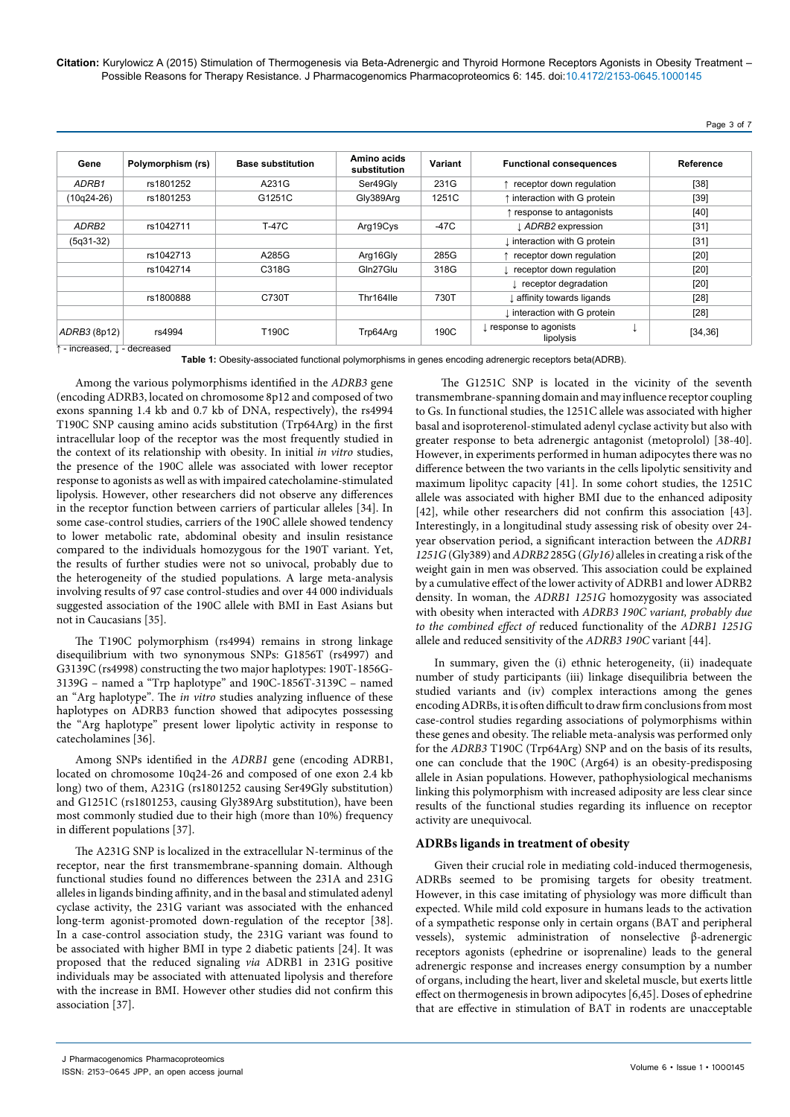| Gene              | Polymorphism (rs) | <b>Base substitution</b> | Amino acids<br>substitution | Variant | <b>Functional consequences</b>      | Reference |
|-------------------|-------------------|--------------------------|-----------------------------|---------|-------------------------------------|-----------|
| ADRB1             | rs1801252         | A231G                    | Ser49Gly                    | 231G    | receptor down regulation            | $[38]$    |
| $(10q24-26)$      | rs1801253         | G1251C                   | Gly389Arg                   | 1251C   | ↑ interaction with G protein        | $[39]$    |
|                   |                   |                          |                             |         | ↑ response to antagonists           | $[40]$    |
| ADRB <sub>2</sub> | rs1042711         | <b>T-47C</b>             | Arg19Cys                    | $-47C$  | LADRB2 expression                   | $[31]$    |
| $(5q31-32)$       |                   |                          |                             |         | I interaction with G protein        | $[31]$    |
|                   | rs1042713         | A285G                    | Arg16Gly                    | 285G    | receptor down regulation            | $[20]$    |
|                   | rs1042714         | C318G                    | Gln27Glu                    | 318G    | receptor down regulation            | [20]      |
|                   |                   |                          |                             |         | I receptor degradation              | $[20]$    |
|                   | rs1800888         | C730T                    | Thr164lle                   | 730T    | Laffinity towards ligands           | $[28]$    |
|                   |                   |                          |                             |         | I interaction with G protein        | [28]      |
| ADRB3 (8p12)      | rs4994            | T190C                    | Trp64Arg                    | 190C    | I response to agonists<br>lipolysis | [34, 36]  |

**Table 1:** Obesity-associated functional polymorphisms in genes encoding adrenergic receptors beta(ADRB).

Among the various polymorphisms identified in the *ADRB3* gene (encoding ADRB3, located on chromosome 8p12 and composed of two exons spanning 1.4 kb and 0.7 kb of DNA, respectively), the rs4994 T190C SNP causing amino acids substitution (Trp64Arg) in the first intracellular loop of the receptor was the most frequently studied in the context of its relationship with obesity. In initial *in vitro* studies, the presence of the 190C allele was associated with lower receptor response to agonists as well as with impaired catecholamine-stimulated lipolysis. However, other researchers did not observe any differences in the receptor function between carriers of particular alleles [34]. In some case-control studies, carriers of the 190C allele showed tendency to lower metabolic rate, abdominal obesity and insulin resistance compared to the individuals homozygous for the 190T variant. Yet, the results of further studies were not so univocal, probably due to the heterogeneity of the studied populations. A large meta-analysis involving results of 97 case control-studies and over 44 000 individuals suggested association of the 190C allele with BMI in East Asians but not in Caucasians [35].

The T190C polymorphism (rs4994) remains in strong linkage disequilibrium with two synonymous SNPs: G1856T (rs4997) and G3139C (rs4998) constructing the two major haplotypes: 190T-1856G-3139G – named a "Trp haplotype" and 190C-1856T-3139C – named an "Arg haplotype". The *in vitro* studies analyzing influence of these haplotypes on ADRB3 function showed that adipocytes possessing the "Arg haplotype" present lower lipolytic activity in response to catecholamines [36].

Among SNPs identified in the *ADRB1* gene (encoding ADRB1, located on chromosome 10q24-26 and composed of one exon 2.4 kb long) two of them, A231G (rs1801252 causing Ser49Gly substitution) and G1251C (rs1801253, causing Gly389Arg substitution), have been most commonly studied due to their high (more than 10%) frequency in different populations [37].

The A231G SNP is localized in the extracellular N-terminus of the receptor, near the first transmembrane-spanning domain. Although functional studies found no differences between the 231A and 231G alleles in ligands binding affinity, and in the basal and stimulated adenyl cyclase activity, the 231G variant was associated with the enhanced long-term agonist-promoted down-regulation of the receptor [38]. In a case-control association study, the 231G variant was found to be associated with higher BMI in type 2 diabetic patients [24]. It was proposed that the reduced signaling *via* ADRB1 in 231G positive individuals may be associated with attenuated lipolysis and therefore with the increase in BMI. However other studies did not confirm this association [37].

 The G1251C SNP is located in the vicinity of the seventh transmembrane-spanning domain and may influence receptor coupling to Gs. In functional studies, the 1251C allele was associated with higher basal and isoproterenol-stimulated adenyl cyclase activity but also with greater response to beta adrenergic antagonist (metoprolol) [38-40]. However, in experiments performed in human adipocytes there was no difference between the two variants in the cells lipolytic sensitivity and maximum lipolityc capacity [41]. In some cohort studies, the 1251C allele was associated with higher BMI due to the enhanced adiposity [42], while other researchers did not confirm this association [43]. Interestingly, in a longitudinal study assessing risk of obesity over 24 year observation period, a significant interaction between the *ADRB1 1251G* (Gly389) and *ADRB2* 285G (*Gly16)* alleles in creating a risk of the weight gain in men was observed. This association could be explained by a cumulative effect of the lower activity of ADRB1 and lower ADRB2 density. In woman, the *ADRB1 1251G* homozygosity was associated with obesity when interacted with *ADRB3 190C variant, probably due to the combined effect of* reduced functionality of the *ADRB1 1251G* allele and reduced sensitivity of the *ADRB3 190C* variant [44].

In summary, given the (i) ethnic heterogeneity, (ii) inadequate number of study participants (iii) linkage disequilibria between the studied variants and (iv) complex interactions among the genes encoding ADRBs, it is often difficult to draw firm conclusions from most case-control studies regarding associations of polymorphisms within these genes and obesity. The reliable meta-analysis was performed only for the *ADRB3* T190C (Trp64Arg) SNP and on the basis of its results, one can conclude that the 190C (Arg64) is an obesity-predisposing allele in Asian populations. However, pathophysiological mechanisms linking this polymorphism with increased adiposity are less clear since results of the functional studies regarding its influence on receptor activity are unequivocal.

#### **ADRBs ligands in treatment of obesity**

Given their crucial role in mediating cold-induced thermogenesis, ADRBs seemed to be promising targets for obesity treatment. However, in this case imitating of physiology was more difficult than expected. While mild cold exposure in humans leads to the activation of a sympathetic response only in certain organs (BAT and peripheral vessels), systemic administration of nonselective β-adrenergic receptors agonists (ephedrine or isoprenaline) leads to the general adrenergic response and increases energy consumption by a number of organs, including the heart, liver and skeletal muscle, but exerts little effect on thermogenesis in brown adipocytes [6,45]. Doses of ephedrine that are effective in stimulation of BAT in rodents are unacceptable

J Pharmacogenomics Pharmacoproteomics

ISSN: 2153-0645 JPP, an open access journal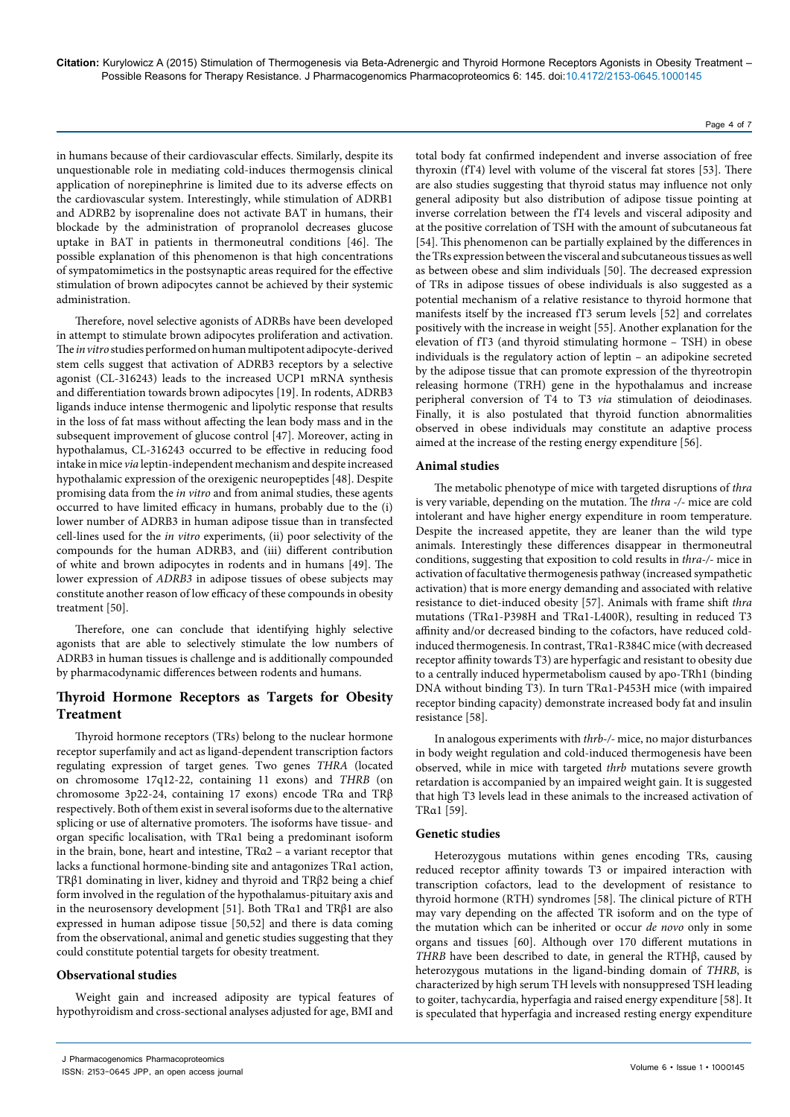in humans because of their cardiovascular effects. Similarly, despite its unquestionable role in mediating cold-induces thermogensis clinical application of norepinephrine is limited due to its adverse effects on the cardiovascular system. Interestingly, while stimulation of ADRB1 and ADRB2 by isoprenaline does not activate BAT in humans, their blockade by the administration of propranolol decreases glucose uptake in BAT in patients in thermoneutral conditions [46]. The possible explanation of this phenomenon is that high concentrations of sympatomimetics in the postsynaptic areas required for the effective stimulation of brown adipocytes cannot be achieved by their systemic administration.

Therefore, novel selective agonists of ADRBs have been developed in attempt to stimulate brown adipocytes proliferation and activation. The *in vitro* studies performed on human multipotent adipocyte-derived stem cells suggest that activation of ADRB3 receptors by a selective agonist (CL-316243) leads to the increased UCP1 mRNA synthesis and differentiation towards brown adipocytes [19]. In rodents, ADRB3 ligands induce intense thermogenic and lipolytic response that results in the loss of fat mass without affecting the lean body mass and in the subsequent improvement of glucose control [47]. Moreover, acting in hypothalamus, CL-316243 occurred to be effective in reducing food intake in mice *via* leptin-independent mechanism and despite increased hypothalamic expression of the orexigenic neuropeptides [48]. Despite promising data from the *in vitro* and from animal studies, these agents occurred to have limited efficacy in humans, probably due to the (i) lower number of ADRB3 in human adipose tissue than in transfected cell-lines used for the *in vitro* experiments, (ii) poor selectivity of the compounds for the human ADRB3, and (iii) different contribution of white and brown adipocytes in rodents and in humans [49]. The lower expression of *ADRB3* in adipose tissues of obese subjects may constitute another reason of low efficacy of these compounds in obesity treatment [50].

Therefore, one can conclude that identifying highly selective agonists that are able to selectively stimulate the low numbers of ADRB3 in human tissues is challenge and is additionally compounded by pharmacodynamic differences between rodents and humans.

# **Thyroid Hormone Receptors as Targets for Obesity Treatment**

Thyroid hormone receptors (TRs) belong to the nuclear hormone receptor superfamily and act as ligand-dependent transcription factors regulating expression of target genes. Two genes *THRA* (located on chromosome 17q12-22, containing 11 exons) and *THRB* (on chromosome 3p22-24, containing 17 exons) encode TRα and TRβ respectively. Both of them exist in several isoforms due to the alternative splicing or use of alternative promoters. The isoforms have tissue- and organ specific localisation, with TRα1 being a predominant isoform in the brain, bone, heart and intestine, TRα2 – a variant receptor that lacks a functional hormone-binding site and antagonizes TRα1 action, TRβ1 dominating in liver, kidney and thyroid and TRβ2 being a chief form involved in the regulation of the hypothalamus-pituitary axis and in the neurosensory development [51]. Both TRα1 and TRβ1 are also expressed in human adipose tissue [50,52] and there is data coming from the observational, animal and genetic studies suggesting that they could constitute potential targets for obesity treatment.

# **Observational studies**

Weight gain and increased adiposity are typical features of hypothyroidism and cross-sectional analyses adjusted for age, BMI and

total body fat confirmed independent and inverse association of free thyroxin (fT4) level with volume of the visceral fat stores [53]. There are also studies suggesting that thyroid status may influence not only general adiposity but also distribution of adipose tissue pointing at inverse correlation between the fT4 levels and visceral adiposity and at the positive correlation of TSH with the amount of subcutaneous fat [54]. This phenomenon can be partially explained by the differences in the TRs expression between the visceral and subcutaneous tissues as well as between obese and slim individuals [50]. The decreased expression of TRs in adipose tissues of obese individuals is also suggested as a potential mechanism of a relative resistance to thyroid hormone that manifests itself by the increased fT3 serum levels [52] and correlates positively with the increase in weight [55]. Another explanation for the elevation of fT3 (and thyroid stimulating hormone – TSH) in obese individuals is the regulatory action of leptin – an adipokine secreted by the adipose tissue that can promote expression of the thyreotropin releasing hormone (TRH) gene in the hypothalamus and increase peripheral conversion of T4 to T3 *via* stimulation of deiodinases. Finally, it is also postulated that thyroid function abnormalities observed in obese individuals may constitute an adaptive process aimed at the increase of the resting energy expenditure [56].

# **Animal studies**

The metabolic phenotype of mice with targeted disruptions of *thra* is very variable, depending on the mutation. The *thra -/-* mice are cold intolerant and have higher energy expenditure in room temperature. Despite the increased appetite, they are leaner than the wild type animals. Interestingly these differences disappear in thermoneutral conditions, suggesting that exposition to cold results in *thra-/-* mice in activation of facultative thermogenesis pathway (increased sympathetic activation) that is more energy demanding and associated with relative resistance to diet-induced obesity [57]. Animals with frame shift *thra*  mutations (TRα1-P398H and TRα1-L400R), resulting in reduced T3 affinity and/or decreased binding to the cofactors, have reduced coldinduced thermogenesis. In contrast, TRα1-R384C mice (with decreased receptor affinity towards T3) are hyperfagic and resistant to obesity due to a centrally induced hypermetabolism caused by apo-TRh1 (binding DNA without binding T3). In turn TRα1-P453H mice (with impaired receptor binding capacity) demonstrate increased body fat and insulin resistance [58].

In analogous experiments with *thrb-/-* mice, no major disturbances in body weight regulation and cold-induced thermogenesis have been observed, while in mice with targeted *thrb* mutations severe growth retardation is accompanied by an impaired weight gain. It is suggested that high T3 levels lead in these animals to the increased activation of TRα1 [59].

# **Genetic studies**

Heterozygous mutations within genes encoding TRs, causing reduced receptor affinity towards T3 or impaired interaction with transcription cofactors, lead to the development of resistance to thyroid hormone (RTH) syndromes [58]. The clinical picture of RTH may vary depending on the affected TR isoform and on the type of the mutation which can be inherited or occur *de novo* only in some organs and tissues [60]. Although over 170 different mutations in *THRB* have been described to date, in general the RTHβ, caused by heterozygous mutations in the ligand-binding domain of *THRB*, is characterized by high serum TH levels with nonsuppresed TSH leading to goiter, tachycardia, hyperfagia and raised energy expenditure [58]. It is speculated that hyperfagia and increased resting energy expenditure

ISSN: 2153-0645 JPP, an open access journal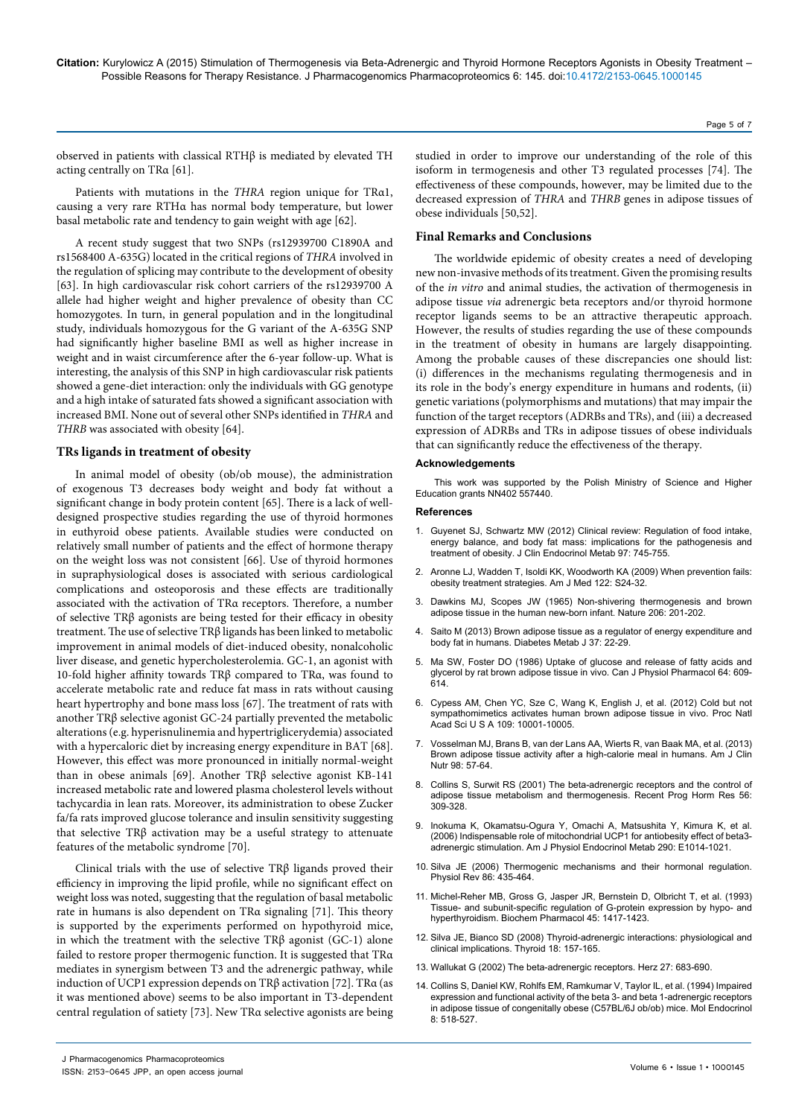Page 5 of 7

observed in patients with classical RTHβ is mediated by elevated TH acting centrally on TRα [61].

Patients with mutations in the *THRA* region unique for TRα1, causing a very rare RTHα has normal body temperature, but lower basal metabolic rate and tendency to gain weight with age [62].

A recent study suggest that two SNPs (rs12939700 C1890A and rs1568400 A-635G) located in the critical regions of *THRA* involved in the regulation of splicing may contribute to the development of obesity [63]. In high cardiovascular risk cohort carriers of the rs12939700 A allele had higher weight and higher prevalence of obesity than CC homozygotes. In turn, in general population and in the longitudinal study, individuals homozygous for the G variant of the A-635G SNP had significantly higher baseline BMI as well as higher increase in weight and in waist circumference after the 6-year follow-up. What is interesting, the analysis of this SNP in high cardiovascular risk patients showed a gene-diet interaction: only the individuals with GG genotype and a high intake of saturated fats showed a significant association with increased BMI. None out of several other SNPs identified in *THRA* and *THRB* was associated with obesity [64].

#### **TRs ligands in treatment of obesity**

In animal model of obesity (ob/ob mouse), the administration of exogenous T3 decreases body weight and body fat without a significant change in body protein content [65]. There is a lack of welldesigned prospective studies regarding the use of thyroid hormones in euthyroid obese patients. Available studies were conducted on relatively small number of patients and the effect of hormone therapy on the weight loss was not consistent [66]. Use of thyroid hormones in supraphysiological doses is associated with serious cardiological complications and osteoporosis and these effects are traditionally associated with the activation of TRα receptors. Therefore, a number of selective TRβ agonists are being tested for their efficacy in obesity treatment. The use of selective TRβ ligands has been linked to metabolic improvement in animal models of diet-induced obesity, nonalcoholic liver disease, and genetic hypercholesterolemia. GC-1, an agonist with 10-fold higher affinity towards TRβ compared to TRα, was found to accelerate metabolic rate and reduce fat mass in rats without causing heart hypertrophy and bone mass loss [67]. The treatment of rats with another TRβ selective agonist GC-24 partially prevented the metabolic alterations (e.g. hyperisnulinemia and hypertriglicerydemia) associated with a hypercaloric diet by increasing energy expenditure in BAT [68]. However, this effect was more pronounced in initially normal-weight than in obese animals [69]. Another TRβ selective agonist KB-141 increased metabolic rate and lowered plasma cholesterol levels without tachycardia in lean rats. Moreover, its administration to obese Zucker fa/fa rats improved glucose tolerance and insulin sensitivity suggesting that selective TRβ activation may be a useful strategy to attenuate features of the metabolic syndrome [70].

Clinical trials with the use of selective TRβ ligands proved their efficiency in improving the lipid profile, while no significant effect on weight loss was noted, suggesting that the regulation of basal metabolic rate in humans is also dependent on TRα signaling [71]. This theory is supported by the experiments performed on hypothyroid mice, in which the treatment with the selective  $TR\beta$  agonist (GC-1) alone failed to restore proper thermogenic function. It is suggested that TRα mediates in synergism between T3 and the adrenergic pathway, while induction of UCP1 expression depends on TR $\beta$  activation [72]. TR $\alpha$  (as it was mentioned above) seems to be also important in T3-dependent central regulation of satiety [73]. New TRα selective agonists are being

studied in order to improve our understanding of the role of this isoform in termogenesis and other T3 regulated processes [74]. The effectiveness of these compounds, however, may be limited due to the decreased expression of *THRA* and *THRB* genes in adipose tissues of obese individuals [50,52].

#### **Final Remarks and Conclusions**

The worldwide epidemic of obesity creates a need of developing new non-invasive methods of its treatment. Given the promising results of the *in vitro* and animal studies, the activation of thermogenesis in adipose tissue *via* adrenergic beta receptors and/or thyroid hormone receptor ligands seems to be an attractive therapeutic approach. However, the results of studies regarding the use of these compounds in the treatment of obesity in humans are largely disappointing. Among the probable causes of these discrepancies one should list: (i) differences in the mechanisms regulating thermogenesis and in its role in the body's energy expenditure in humans and rodents, (ii) genetic variations (polymorphisms and mutations) that may impair the function of the target receptors (ADRBs and TRs), and (iii) a decreased expression of ADRBs and TRs in adipose tissues of obese individuals that can significantly reduce the effectiveness of the therapy.

#### **Acknowledgements**

This work was supported by the Polish Ministry of Science and Higher Education grants NN402 557440.

#### **References**

- 1. [Guyenet SJ, Schwartz MW \(2012\) Clinical review: Regulation of food intake,](http://www.ncbi.nlm.nih.gov/pubmed/22238401)  [energy balance, and body fat mass: implications for the pathogenesis and](http://www.ncbi.nlm.nih.gov/pubmed/22238401)  [treatment of obesity. J Clin Endocrinol Metab 97: 745-755.](http://www.ncbi.nlm.nih.gov/pubmed/22238401)
- 2. [Aronne LJ, Wadden T, Isoldi KK, Woodworth KA \(2009\) When prevention fails:](http://www.ncbi.nlm.nih.gov/pubmed/19410674)  [obesity treatment strategies. Am J Med 122: S24-32.](http://www.ncbi.nlm.nih.gov/pubmed/19410674)
- Dawkins MJ, Scopes JW (1965) Non-shivering thermogenesis and brown [adipose tissue in the human new-born infant. Nature 206: 201-202.](http://www.ncbi.nlm.nih.gov/pubmed/5830159)
- 4. [Saito M \(2013\) Brown adipose tissue as a regulator of energy expenditure and](http://www.ncbi.nlm.nih.gov/pubmed/23441053)  [body fat in humans. Diabetes Metab J 37: 22-29.](http://www.ncbi.nlm.nih.gov/pubmed/23441053)
- Ma SW, Foster DO (1986) Uptake of glucose and release of fatty acids and [glycerol by rat brown adipose tissue in vivo. Can J Physiol Pharmacol 64: 609-](http://www.ncbi.nlm.nih.gov/pubmed/3730946) [614.](http://www.ncbi.nlm.nih.gov/pubmed/3730946)
- 6. [Cypess AM, Chen YC, Sze C, Wang K, English J, et al. \(2012\) Cold but not](http://www.ncbi.nlm.nih.gov/pubmed/22665804)  [sympathomimetics activates human brown adipose tissue in vivo. Proc Natl](http://www.ncbi.nlm.nih.gov/pubmed/22665804)  [Acad Sci U S A 109: 10001-10005.](http://www.ncbi.nlm.nih.gov/pubmed/22665804)
- 7. [Vosselman MJ, Brans B, van der Lans AA, Wierts R, van Baak MA, et al. \(2013\)](http://www.ncbi.nlm.nih.gov/pubmed/23719558)  [Brown adipose tissue activity after a high-calorie meal in humans. Am J Clin](http://www.ncbi.nlm.nih.gov/pubmed/23719558)  [Nutr 98: 57-64.](http://www.ncbi.nlm.nih.gov/pubmed/23719558)
- 8. [Collins S, Surwit RS \(2001\) The beta-adrenergic receptors and the control of](http://www.ncbi.nlm.nih.gov/pubmed/11237219)  [adipose tissue metabolism and thermogenesis. Recent Prog Horm Res 56:](http://www.ncbi.nlm.nih.gov/pubmed/11237219)  [309-328.](http://www.ncbi.nlm.nih.gov/pubmed/11237219)
- 9. [Inokuma K, Okamatsu-Ogura Y, Omachi A, Matsushita Y, Kimura K, et al.](http://www.ncbi.nlm.nih.gov/pubmed/16368788)  [\(2006\) Indispensable role of mitochondrial UCP1 for antiobesity effect of beta3](http://www.ncbi.nlm.nih.gov/pubmed/16368788) [adrenergic stimulation. Am J Physiol Endocrinol Metab 290: E1014-1021.](http://www.ncbi.nlm.nih.gov/pubmed/16368788)
- 10. [Silva JE \(2006\) Thermogenic mechanisms and their hormonal regulation.](http://www.ncbi.nlm.nih.gov/pubmed/16601266)  [Physiol Rev 86: 435-464.](http://www.ncbi.nlm.nih.gov/pubmed/16601266)
- 11. [Michel-Reher MB, Gross G, Jasper JR, Bernstein D, Olbricht T, et al. \(1993\)](http://www.ncbi.nlm.nih.gov/pubmed/8471065)  [Tissue- and subunit-specific regulation of G-protein expression by hypo- and](http://www.ncbi.nlm.nih.gov/pubmed/8471065)  [hyperthyroidism. Biochem Pharmacol 45: 1417-1423.](http://www.ncbi.nlm.nih.gov/pubmed/8471065)
- 12. [Silva JE, Bianco SD \(2008\) Thyroid-adrenergic interactions: physiological and](http://www.ncbi.nlm.nih.gov/pubmed/18279016)  [clinical implications. Thyroid 18: 157-165.](http://www.ncbi.nlm.nih.gov/pubmed/18279016)
- 13. [Wallukat G \(2002\) The beta-adrenergic receptors. Herz 27: 683-690.](http://www.ncbi.nlm.nih.gov/pubmed/12439640)
- 14. [Collins S, Daniel KW, Rohlfs EM, Ramkumar V, Taylor IL, et al. \(1994\) Impaired](http://www.ncbi.nlm.nih.gov/pubmed/7914350)  [expression and functional activity of the beta 3- and beta 1-adrenergic receptors](http://www.ncbi.nlm.nih.gov/pubmed/7914350)  [in adipose tissue of congenitally obese \(C57BL/6J ob/ob\) mice. Mol Endocrinol](http://www.ncbi.nlm.nih.gov/pubmed/7914350)  [8: 518-527.](http://www.ncbi.nlm.nih.gov/pubmed/7914350)

J Pharmacogenomics Pharmacoproteomics

ISSN: 2153-0645 JPP, an open access journal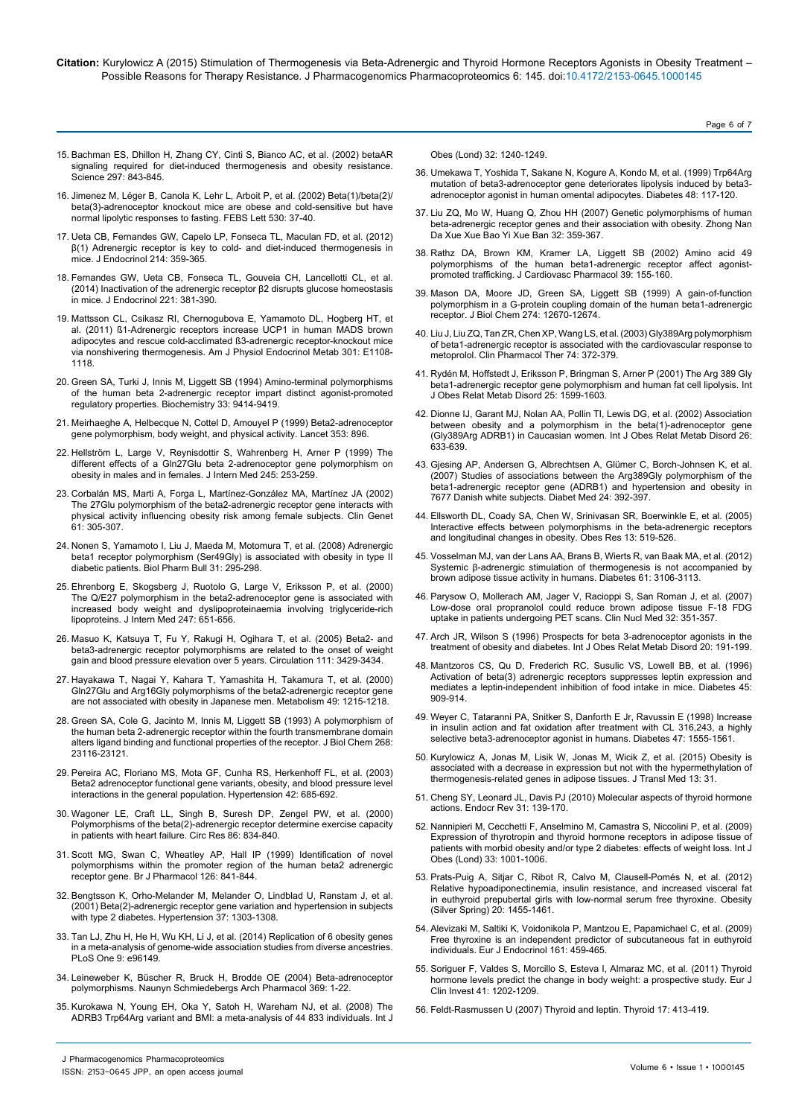- 15. [Bachman ES, Dhillon H, Zhang CY, Cinti S, Bianco AC, et al. \(2002\) betaAR](http://www.ncbi.nlm.nih.gov/pubmed/12161655) [signaling required for diet-induced thermogenesis and obesity resistance.](http://www.ncbi.nlm.nih.gov/pubmed/12161655) [Science 297: 843-845.](http://www.ncbi.nlm.nih.gov/pubmed/12161655)
- 16. [Jimenez M, Léger B, Canola K, Lehr L, Arboit P, et al. \(2002\) Beta\(1\)/beta\(2\)/](http://www.ncbi.nlm.nih.gov/pubmed/12387862) [beta\(3\)-adrenoceptor knockout mice are obese and cold-sensitive but have](http://www.ncbi.nlm.nih.gov/pubmed/12387862) [normal lipolytic responses to fasting. FEBS Lett 530: 37-40.](http://www.ncbi.nlm.nih.gov/pubmed/12387862)
- 17. [Ueta CB, Fernandes GW, Capelo LP, Fonseca TL, Maculan FD, et al. \(2012\)](http://www.ncbi.nlm.nih.gov/pubmed/22728333) β(1) [Adrenergic receptor is key to cold- and diet-induced thermogenesis in](http://www.ncbi.nlm.nih.gov/pubmed/22728333) [mice. J Endocrinol 214: 359-365.](http://www.ncbi.nlm.nih.gov/pubmed/22728333)
- 18. [Fernandes GW, Ueta CB, Fonseca TL, Gouveia CH, Lancellotti CL, et al.](http://www.ncbi.nlm.nih.gov/pubmed/24868110) [\(2014\) Inactivation of the adrenergic receptor](http://www.ncbi.nlm.nih.gov/pubmed/24868110) β2 disrupts glucose homeostasis [in mice. J Endocrinol 221: 381-390.](http://www.ncbi.nlm.nih.gov/pubmed/24868110)
- 19. [Mattsson CL, Csikasz RI, Chernogubova E, Yamamoto DL, Hogberg HT, et](https://www.docphin.com/research/article-detail/3728402/PubMedID-21878665/%C3%9F1-Adrenergic-receptors-increase-UCP1-in-human-MADS-brown-adipocytes-and-rescue-cold-acclimated-%C3%9F3-adrenergic-receptor-knockout-mice-via-nonshivering-thermogenesis) [al. \(2011\) ß1-Adrenergic receptors increase UCP1 in human MADS brown](https://www.docphin.com/research/article-detail/3728402/PubMedID-21878665/%C3%9F1-Adrenergic-receptors-increase-UCP1-in-human-MADS-brown-adipocytes-and-rescue-cold-acclimated-%C3%9F3-adrenergic-receptor-knockout-mice-via-nonshivering-thermogenesis) [adipocytes and rescue cold-acclimated ß3-adrenergic receptor-knockout mice](https://www.docphin.com/research/article-detail/3728402/PubMedID-21878665/%C3%9F1-Adrenergic-receptors-increase-UCP1-in-human-MADS-brown-adipocytes-and-rescue-cold-acclimated-%C3%9F3-adrenergic-receptor-knockout-mice-via-nonshivering-thermogenesis) [via nonshivering thermogenesis. Am J Physiol Endocrinol Metab 301: E1108-](https://www.docphin.com/research/article-detail/3728402/PubMedID-21878665/%C3%9F1-Adrenergic-receptors-increase-UCP1-in-human-MADS-brown-adipocytes-and-rescue-cold-acclimated-%C3%9F3-adrenergic-receptor-knockout-mice-via-nonshivering-thermogenesis) [1118.](https://www.docphin.com/research/article-detail/3728402/PubMedID-21878665/%C3%9F1-Adrenergic-receptors-increase-UCP1-in-human-MADS-brown-adipocytes-and-rescue-cold-acclimated-%C3%9F3-adrenergic-receptor-knockout-mice-via-nonshivering-thermogenesis)
- 20. [Green SA, Turki J, Innis M, Liggett SB \(1994\) Amino-terminal polymorphisms](http://www.ncbi.nlm.nih.gov/pubmed/7915137) [of the human beta 2-adrenergic receptor impart distinct agonist-promoted](http://www.ncbi.nlm.nih.gov/pubmed/7915137) [regulatory properties. Biochemistry 33: 9414-9419.](http://www.ncbi.nlm.nih.gov/pubmed/7915137)
- 21. [Meirhaeghe A, Helbecque N, Cottel D, Amouyel P \(1999\) Beta2-adrenoceptor](http://www.ncbi.nlm.nih.gov/pubmed/10093985) [gene polymorphism, body weight, and physical activity. Lancet 353: 896.](http://www.ncbi.nlm.nih.gov/pubmed/10093985)
- 22. [Hellström L, Large V, Reynisdottir S, Wahrenberg H, Arner P \(1999\) The](http://www.ncbi.nlm.nih.gov/pubmed/10205587) [different effects of a Gln27Glu beta 2-adrenoceptor gene polymorphism on](http://www.ncbi.nlm.nih.gov/pubmed/10205587) [obesity in males and in females. J Intern Med 245: 253-259.](http://www.ncbi.nlm.nih.gov/pubmed/10205587)
- 23. [Corbalán MS, Marti A, Forga L, Martínez-González MA, Martínez JA \(2002\)](http://www.ncbi.nlm.nih.gov/pubmed/12030897) [The 27Glu polymorphism of the beta2-adrenergic receptor gene interacts with](http://www.ncbi.nlm.nih.gov/pubmed/12030897) [physical activity influencing obesity risk among female subjects. Clin Genet](http://www.ncbi.nlm.nih.gov/pubmed/12030897) [61: 305-307.](http://www.ncbi.nlm.nih.gov/pubmed/12030897)
- 24. [Nonen S, Yamamoto I, Liu J, Maeda M, Motomura T, et al. \(2008\) Adrenergic](http://www.ncbi.nlm.nih.gov/pubmed/18239290) [beta1 receptor polymorphism \(Ser49Gly\) is associated with obesity in type II](http://www.ncbi.nlm.nih.gov/pubmed/18239290) [diabetic patients. Biol Pharm Bull 31: 295-298.](http://www.ncbi.nlm.nih.gov/pubmed/18239290)
- 25. [Ehrenborg E, Skogsberg J, Ruotolo G, Large V, Eriksson P, et al. \(2000\)](http://www.ncbi.nlm.nih.gov/pubmed/10886486) [The Q/E27 polymorphism in the beta2-adrenoceptor gene is associated with](http://www.ncbi.nlm.nih.gov/pubmed/10886486) [increased body weight and dyslipoproteinaemia involving triglyceride-rich](http://www.ncbi.nlm.nih.gov/pubmed/10886486) [lipoproteins. J Intern Med 247: 651-656.](http://www.ncbi.nlm.nih.gov/pubmed/10886486)
- 26. [Masuo K, Katsuya T, Fu Y, Rakugi H, Ogihara T, et al. \(2005\) Beta2- and](http://www.ncbi.nlm.nih.gov/pubmed/15956122) [beta3-adrenergic receptor polymorphisms are related to the onset of weight](http://www.ncbi.nlm.nih.gov/pubmed/15956122) [gain and blood pressure elevation over 5 years. Circulation 111: 3429-3434.](http://www.ncbi.nlm.nih.gov/pubmed/15956122)
- 27. [Hayakawa T, Nagai Y, Kahara T, Yamashita H, Takamura T, et al. \(2000\)](http://www.ncbi.nlm.nih.gov/pubmed/11016907) [Gln27Glu and Arg16Gly polymorphisms of the beta2-adrenergic receptor gene](http://www.ncbi.nlm.nih.gov/pubmed/11016907) [are not associated with obesity in Japanese men. Metabolism 49: 1215-1218.](http://www.ncbi.nlm.nih.gov/pubmed/11016907)
- 28. [Green SA, Cole G, Jacinto M, Innis M, Liggett SB \(1993\) A polymorphism of](http://www.ncbi.nlm.nih.gov/pubmed/7901205) [the human beta 2-adrenergic receptor within the fourth transmembrane domain](http://www.ncbi.nlm.nih.gov/pubmed/7901205) [alters ligand binding and functional properties of the receptor. J Biol Chem 268:](http://www.ncbi.nlm.nih.gov/pubmed/7901205) [23116-23121.](http://www.ncbi.nlm.nih.gov/pubmed/7901205)
- 29. [Pereira AC, Floriano MS, Mota GF, Cunha RS, Herkenhoff FL, et al. \(2003\)](http://www.ncbi.nlm.nih.gov/pubmed/12900437) [Beta2 adrenoceptor functional gene variants, obesity, and blood pressure level](http://www.ncbi.nlm.nih.gov/pubmed/12900437) [interactions in the general population. Hypertension 42: 685-692.](http://www.ncbi.nlm.nih.gov/pubmed/12900437)
- 30. [Wagoner LE, Craft LL, Singh B, Suresh DP, Zengel PW, et al. \(2000\)](http://www.ncbi.nlm.nih.gov/pubmed/10785504) [Polymorphisms of the beta\(2\)-adrenergic receptor determine exercise capacity](http://www.ncbi.nlm.nih.gov/pubmed/10785504) [in patients with heart failure. Circ Res 86: 834-840.](http://www.ncbi.nlm.nih.gov/pubmed/10785504)
- 31. [Scott MG, Swan C, Wheatley AP, Hall IP \(1999\) Identification of novel](http://www.ncbi.nlm.nih.gov/pubmed/10193762) [polymorphisms within the promoter region of the human beta2 adrenergic](http://www.ncbi.nlm.nih.gov/pubmed/10193762) [receptor gene. Br J Pharmacol 126: 841-844.](http://www.ncbi.nlm.nih.gov/pubmed/10193762)
- 32. [Bengtsson K, Orho-Melander M, Melander O, Lindblad U, Ranstam J, et al.](http://www.ncbi.nlm.nih.gov/pubmed/11358945) [\(2001\) Beta\(2\)-adrenergic receptor gene variation and hypertension in subjects](http://www.ncbi.nlm.nih.gov/pubmed/11358945) [with type 2 diabetes. Hypertension 37: 1303-1308.](http://www.ncbi.nlm.nih.gov/pubmed/11358945)
- 33. [Tan LJ, Zhu H, He H, Wu KH, Li J, et al. \(2014\) Replication of 6 obesity genes](http://www.ncbi.nlm.nih.gov/pubmed/24879436) [in a meta-analysis of genome-wide association studies from diverse ancestries.](http://www.ncbi.nlm.nih.gov/pubmed/24879436) [PLoS One 9: e96149.](http://www.ncbi.nlm.nih.gov/pubmed/24879436)
- 34. [Leineweber K, Büscher R, Bruck H, Brodde OE \(2004\) Beta-adrenoceptor](http://www.ncbi.nlm.nih.gov/pubmed/14647973) [polymorphisms. Naunyn Schmiedebergs Arch Pharmacol 369: 1-22.](http://www.ncbi.nlm.nih.gov/pubmed/14647973)
- 35. [Kurokawa N, Young EH, Oka Y, Satoh H, Wareham NJ, et al. \(2008\) The](http://www.ncbi.nlm.nih.gov/pubmed/18574485) [ADRB3 Trp64Arg variant and BMI: a meta-analysis of 44 833 individuals. Int J](http://www.ncbi.nlm.nih.gov/pubmed/18574485)

[Obes \(Lond\) 32: 1240-1249.](http://www.ncbi.nlm.nih.gov/pubmed/18574485)

36. [Umekawa T, Yoshida T, Sakane N, Kogure A, Kondo M, et al. \(1999\) Trp64Arg](http://www.ncbi.nlm.nih.gov/pubmed/9892231)  [mutation of beta3-adrenoceptor gene deteriorates lipolysis induced by beta3](http://www.ncbi.nlm.nih.gov/pubmed/9892231) [adrenoceptor agonist in human omental adipocytes. Diabetes 48: 117-120.](http://www.ncbi.nlm.nih.gov/pubmed/9892231)

Page 6 of 7

- 37. [Liu ZQ, Mo W, Huang Q, Zhou HH \(2007\) Genetic polymorphisms of human](http://www.ncbi.nlm.nih.gov/pubmed/17611309)  [beta-adrenergic receptor genes and their association with obesity. Zhong Nan](http://www.ncbi.nlm.nih.gov/pubmed/17611309)  [Da Xue Xue Bao Yi Xue Ban 32: 359-367.](http://www.ncbi.nlm.nih.gov/pubmed/17611309)
- 38. [Rathz DA, Brown KM, Kramer LA, Liggett SB \(2002\) Amino acid 49](http://www.ncbi.nlm.nih.gov/pubmed/11791000)  [polymorphisms of the human beta1-adrenergic receptor affect agonist](http://www.ncbi.nlm.nih.gov/pubmed/11791000)[promoted trafficking. J Cardiovasc Pharmacol 39: 155-160.](http://www.ncbi.nlm.nih.gov/pubmed/11791000)
- 39. [Mason DA, Moore JD, Green SA, Liggett SB \(1999\) A gain-of-function](http://www.ncbi.nlm.nih.gov/pubmed/10212248)  [polymorphism in a G-protein coupling domain of the human beta1-adrenergic](http://www.ncbi.nlm.nih.gov/pubmed/10212248)  [receptor. J Biol Chem 274: 12670-12674.](http://www.ncbi.nlm.nih.gov/pubmed/10212248)
- 40. [Liu J, Liu ZQ, Tan ZR, Chen XP, Wang LS, et al. \(2003\) Gly389Arg polymorphism](http://www.ncbi.nlm.nih.gov/pubmed/14534524)  [of beta1-adrenergic receptor is associated with the cardiovascular response to](http://www.ncbi.nlm.nih.gov/pubmed/14534524)  [metoprolol. Clin Pharmacol Ther 74: 372-379.](http://www.ncbi.nlm.nih.gov/pubmed/14534524)
- 41. [Rydén M, Hoffstedt J, Eriksson P, Bringman S, Arner P \(2001\) The Arg 389 Gly](http://www.ncbi.nlm.nih.gov/pubmed/11753577)  [beta1-adrenergic receptor gene polymorphism and human fat cell lipolysis. Int](http://www.ncbi.nlm.nih.gov/pubmed/11753577)  [J Obes Relat Metab Disord 25: 1599-1603.](http://www.ncbi.nlm.nih.gov/pubmed/11753577)
- 42. [Dionne IJ, Garant MJ, Nolan AA, Pollin TI, Lewis DG, et al. \(2002\) Association](http://www.ncbi.nlm.nih.gov/pubmed/12032746)  [between obesity and a polymorphism in the beta\(1\)-adrenoceptor gene](http://www.ncbi.nlm.nih.gov/pubmed/12032746)  [\(Gly389Arg ADRB1\) in Caucasian women. Int J Obes Relat Metab Disord 26:](http://www.ncbi.nlm.nih.gov/pubmed/12032746)  [633-639.](http://www.ncbi.nlm.nih.gov/pubmed/12032746)
- 43. [Gjesing AP, Andersen G, Albrechtsen A, Glümer C, Borch-Johnsen K, et al.](http://www.ncbi.nlm.nih.gov/pubmed/17335470)  [\(2007\) Studies of associations between the Arg389Gly polymorphism of the](http://www.ncbi.nlm.nih.gov/pubmed/17335470)  [beta1-adrenergic receptor gene \(ADRB1\) and hypertension and obesity in](http://www.ncbi.nlm.nih.gov/pubmed/17335470)  [7677 Danish white subjects. Diabet Med 24: 392-397.](http://www.ncbi.nlm.nih.gov/pubmed/17335470)
- 44. [Ellsworth DL, Coady SA, Chen W, Srinivasan SR, Boerwinkle E, et al. \(2005\)](http://www.ncbi.nlm.nih.gov/pubmed/15833937)  [Interactive effects between polymorphisms in the beta-adrenergic receptors](http://www.ncbi.nlm.nih.gov/pubmed/15833937)  [and longitudinal changes in obesity. Obes Res 13: 519-526.](http://www.ncbi.nlm.nih.gov/pubmed/15833937)
- 45. [Vosselman MJ, van der Lans AA, Brans B, Wierts R, van Baak MA, et al. \(2012\)](http://www.ncbi.nlm.nih.gov/pubmed/22872233)  [Systemic β-adrenergic stimulation of thermogenesis is not accompanied by](http://www.ncbi.nlm.nih.gov/pubmed/22872233)  [brown adipose tissue activity in humans. Diabetes 61: 3106-3113.](http://www.ncbi.nlm.nih.gov/pubmed/22872233)
- 46. [Parysow O, Mollerach AM, Jager V, Racioppi S, San Roman J, et al. \(2007\)](http://www.ncbi.nlm.nih.gov/pubmed/17452860)  [Low-dose oral propranolol could reduce brown adipose tissue F-18 FDG](http://www.ncbi.nlm.nih.gov/pubmed/17452860)  [uptake in patients undergoing PET scans. Clin Nucl Med 32: 351-357.](http://www.ncbi.nlm.nih.gov/pubmed/17452860)
- 47. [Arch JR, Wilson S \(1996\) Prospects for beta 3-adrenoceptor agonists in the](http://www.ncbi.nlm.nih.gov/pubmed/8653138)  [treatment of obesity and diabetes. Int J Obes Relat Metab Disord 20: 191-199.](http://www.ncbi.nlm.nih.gov/pubmed/8653138)
- 48. [Mantzoros CS, Qu D, Frederich RC, Susulic VS, Lowell BB, et al. \(1996\)](http://www.ncbi.nlm.nih.gov/pubmed/8666142)  [Activation of beta\(3\) adrenergic receptors suppresses leptin expression and](http://www.ncbi.nlm.nih.gov/pubmed/8666142)  [mediates a leptin-independent inhibition of food intake in mice. Diabetes 45:](http://www.ncbi.nlm.nih.gov/pubmed/8666142)  [909-914.](http://www.ncbi.nlm.nih.gov/pubmed/8666142)
- 49. [Weyer C, Tataranni PA, Snitker S, Danforth E Jr, Ravussin E \(1998\) Increase](http://www.ncbi.nlm.nih.gov/pubmed/9753292)  [in insulin action and fat oxidation after treatment with CL 316,243, a highly](http://www.ncbi.nlm.nih.gov/pubmed/9753292)  [selective beta3-adrenoceptor agonist in humans. Diabetes 47: 1555-1561.](http://www.ncbi.nlm.nih.gov/pubmed/9753292)
- 50. [Kurylowicz A, Jonas M, Lisik W, Jonas M, Wicik Z, et al. \(2015\) Obesity is](http://www.ncbi.nlm.nih.gov/pubmed/25622596)  [associated with a decrease in expression but not with the hypermethylation of](http://www.ncbi.nlm.nih.gov/pubmed/25622596)  [thermogenesis-related genes in adipose tissues. J Transl Med 13: 31.](http://www.ncbi.nlm.nih.gov/pubmed/25622596)
- 51. [Cheng SY, Leonard JL, Davis PJ \(2010\) Molecular aspects of thyroid hormone](http://www.ncbi.nlm.nih.gov/pubmed/20051527)  [actions. Endocr Rev 31: 139-170.](http://www.ncbi.nlm.nih.gov/pubmed/20051527)
- 52. [Nannipieri M, Cecchetti F, Anselmino M, Camastra S, Niccolini P, et al. \(2009\)](http://www.ncbi.nlm.nih.gov/pubmed/19636322)  [Expression of thyrotropin and thyroid hormone receptors in adipose tissue of](http://www.ncbi.nlm.nih.gov/pubmed/19636322)  [patients with morbid obesity and/or type 2 diabetes: effects of weight loss. Int J](http://www.ncbi.nlm.nih.gov/pubmed/19636322)  [Obes \(Lond\) 33: 1001-1006.](http://www.ncbi.nlm.nih.gov/pubmed/19636322)
- 53. [Prats-Puig A, Sitjar C, Ribot R, Calvo M, Clausell-Pomés N, et al. \(2012\)](http://www.ncbi.nlm.nih.gov/pubmed/21738234)  [Relative hypoadiponectinemia, insulin resistance, and increased visceral fat](http://www.ncbi.nlm.nih.gov/pubmed/21738234)  [in euthyroid prepubertal girls with low-normal serum free thyroxine. Obesity](http://www.ncbi.nlm.nih.gov/pubmed/21738234)  [\(Silver Spring\) 20: 1455-1461.](http://www.ncbi.nlm.nih.gov/pubmed/21738234)
- 54. [Alevizaki M, Saltiki K, Voidonikola P, Mantzou E, Papamichael C, et al. \(2009\)](http://www.ncbi.nlm.nih.gov/pubmed/19700640)  [Free thyroxine is an independent predictor of subcutaneous fat in euthyroid](http://www.ncbi.nlm.nih.gov/pubmed/19700640)  [individuals. Eur J Endocrinol 161: 459-465.](http://www.ncbi.nlm.nih.gov/pubmed/19700640)
- 55. [Soriguer F, Valdes S, Morcillo S, Esteva I, Almaraz MC, et al. \(2011\) Thyroid](http://www.ncbi.nlm.nih.gov/pubmed/21470220)  [hormone levels predict the change in body weight: a prospective study. Eur J](http://www.ncbi.nlm.nih.gov/pubmed/21470220)  [Clin Invest 41: 1202-1209.](http://www.ncbi.nlm.nih.gov/pubmed/21470220)
- 56. [Feldt-Rasmussen U \(2007\) Thyroid and leptin. Thyroid 17: 413-419.](http://www.ncbi.nlm.nih.gov/pubmed/17542671)

J Pharmacogenomics Pharmacoproteomics